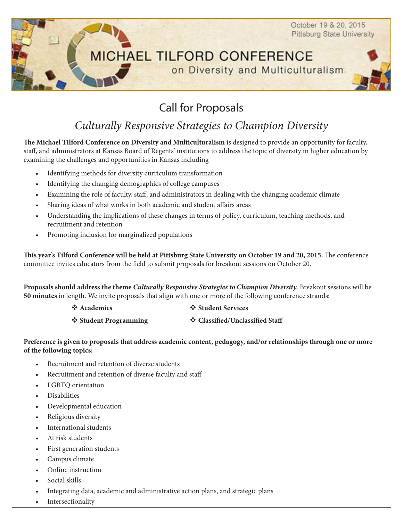October 19 & 20, 2015 **Pittsburg State University** 

## **MICHAEL TILFORD CONFERENCE** on Diversity and Multiculturalism



# Call for Proposals

## *Culturally Responsive Strategies to Champion Diversity*

**The Michael Tilford Conference on Diversity and Multiculturalism** is designed to provide an opportunity for faculty, staff, and administrators at Kansas Board of Regents' institutions to address the topic of diversity in higher education by examining the challenges and opportunities in Kansas including

- Identifying methods for diversity curriculum transformation
- Identifying the changing demographics of college campuses
- Examining the role of faculty, staff, and administrators in dealing with the changing academic climate
- Sharing ideas of what works in both academic and student affairs areas
- Understanding the implications of these changes in terms of policy, curriculum, teaching methods, and recruitment and retention
- Promoting inclusion for marginalized populations

**This year's Tilford Conference will be held at Pittsburg State University on October 19 and 20, 2015.** The conference committee invites educators from the field to submit proposals for breakout sessions on October 20.

**Proposals should address the theme** *Culturally Responsive Strategies to Champion Diversity.* Breakout sessions will be **50 minutes** in length. We invite proposals that align with one or more of the following conference strands:

**V** Academics  $\triangle$  Student Services

\* Student Programming \* Classified/Unclassified Staff

#### **Preference is given to proposals that address academic content, pedagogy, and/or relationships through one or more of the following topics:**

- Recruitment and retention of diverse students
- Recruitment and retention of diverse faculty and staff
- LGBTO orientation
- **Disabilities**
- Developmental education
- Religious diversity
- International students
- At risk students
- First generation students
- Campus climate
- Online instruction
- Social skills
- Integrating data, academic and administrative action plans, and strategic plans
- **Intersectionality**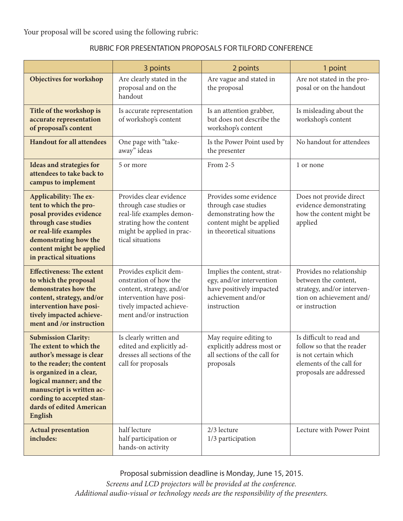Your proposal will be scored using the following rubric:

| RUBRIC FOR PRESENTATION PROPOSALS FOR TILFORD CONFERENCE |
|----------------------------------------------------------|
|----------------------------------------------------------|

|                                                                                                                                                                                                                                                                                 | 3 points                                                                                                                                                       | 2 points                                                                                                                         | 1 point                                                                                                                              |
|---------------------------------------------------------------------------------------------------------------------------------------------------------------------------------------------------------------------------------------------------------------------------------|----------------------------------------------------------------------------------------------------------------------------------------------------------------|----------------------------------------------------------------------------------------------------------------------------------|--------------------------------------------------------------------------------------------------------------------------------------|
| Objectives for workshop                                                                                                                                                                                                                                                         | Are clearly stated in the<br>proposal and on the<br>handout                                                                                                    | Are vague and stated in<br>the proposal                                                                                          | Are not stated in the pro-<br>posal or on the handout                                                                                |
| Title of the workshop is<br>accurate representation<br>of proposal's content                                                                                                                                                                                                    | Is accurate representation<br>Is an attention grabber,<br>but does not describe the<br>of workshop's content<br>workshop's content                             |                                                                                                                                  | Is misleading about the<br>workshop's content                                                                                        |
| <b>Handout for all attendees</b>                                                                                                                                                                                                                                                | One page with "take-<br>away" ideas                                                                                                                            | Is the Power Point used by<br>the presenter                                                                                      | No handout for attendees                                                                                                             |
| Ideas and strategies for<br>attendees to take back to<br>campus to implement                                                                                                                                                                                                    | 5 or more                                                                                                                                                      | From 2-5                                                                                                                         |                                                                                                                                      |
| Applicability: The ex-<br>tent to which the pro-<br>posal provides evidence<br>through case studies<br>or real-life examples<br>demonstrating how the<br>content might be applied<br>in practical situations                                                                    | Provides clear evidence<br>through case studies or<br>real-life examples demon-<br>strating how the content<br>might be applied in prac-<br>tical situations   | Provides some evidence<br>through case studies<br>demonstrating how the<br>content might be applied<br>in theoretical situations | Does not provide direct<br>evidence demonstrating<br>how the content might be<br>applied                                             |
| <b>Effectiveness: The extent</b><br>to which the proposal<br>demonstrates how the<br>content, strategy, and/or<br>intervention have posi-<br>tively impacted achieve-<br>ment and /or instruction                                                                               | Provides explicit dem-<br>onstration of how the<br>content, strategy, and/or<br>intervention have posi-<br>tively impacted achieve-<br>ment and/or instruction | Implies the content, strat-<br>egy, and/or intervention<br>have positively impacted<br>achievement and/or<br>instruction         | Provides no relationship<br>between the content,<br>strategy, and/or interven-<br>tion on achievement and/<br>or instruction         |
| <b>Submission Clarity:</b><br>The extent to which the<br>author's message is clear<br>to the reader; the content<br>is organized in a clear,<br>logical manner; and the<br>manuscript is written ac-<br>cording to accepted stan-<br>dards of edited American<br><b>English</b> | Is clearly written and<br>edited and explicitly ad-<br>dresses all sections of the<br>call for proposals                                                       | May require editing to<br>explicitly address most or<br>all sections of the call for<br>proposals                                | Is difficult to read and<br>follow so that the reader<br>is not certain which<br>elements of the call for<br>proposals are addressed |
| <b>Actual presentation</b><br>includes:                                                                                                                                                                                                                                         | half lecture<br>half participation or<br>hands-on activity                                                                                                     | 2/3 lecture<br>1/3 participation                                                                                                 | Lecture with Power Point                                                                                                             |

Proposal submission deadline is Monday, June 15, 2015. *Screens and LCD projectors will be provided at the conference. Additional audio-visual or technology needs are the responsibility of the presenters.*